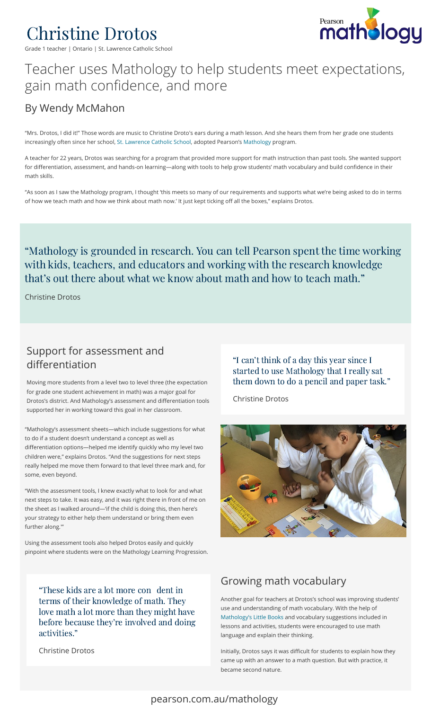

Grade 1 teacher | Ontario | St. Lawrence Catholic School



# Teacher uses Mathology to help students meet expectations, gain math confidence, and more

## By Wendy McMahon

"Mrs. Drotos, I did it!" Those words are music to Christine Droto's ears during a math lesson. And she hears them from her grade one students increasingly often since her school, St. Lawrence Catholic School, adopted Pearson's Mathology program.

A teacher for 22 years, Drotos was searching for a program that provided more support for math instruction than past tools. She wanted support for differentiation, assessment, and hands-on learning-along with tools to help grow students' math vocabulary and build confidence in their math skills.

"As soon as I saw the Mathology program, I thought 'this meets so many of our requirements and supports what we're being asked to do in terms of how we teach math and how we think about math now.' It just kept ticking off all the boxes," explains Drotos.

#### "Mathology is grounded in research. You can tell Pearson spent the time working with kids, teachers, and educators and working with the research knowledge that's out there about what we know about math and how to teach math."

Christine Drotos

### Support for assessment and differentiation

Moving more students from a level two to level three (the expectation for grade one student achievement in math) was a major goal for Drotos's district. And Mathology's assessment and differentiation tools supported her in working toward this goal in her classroom.

"Mathology's assessment sheets—which include suggestions for what to do if a student doesn't understand a concept as well as differentiation options-helped me identify quickly who my level two children were," explains Drotos. "And the suggestions for next steps really helped me move them forward to that level three mark and, for some, even beyond.

"With the assessment tools, I knew exactly what to look for and what next steps to take. It was easy, and it was right there in front of me on the sheet as I walked around—'if the child is doing this, then here's your strategy to either help them understand or bring them even further along.'"

Using the assessment tools also helped Drotos easily and quickly pinpoint where students were on the Mathology Learning Progression.

"These kids are a lot more con dent in terms of their knowledge of math. They terms of their knowledge of math. They<br>love math a lot more than thev might have love math a lot more than they might have<br>before because thev're involved and doing activities."

Christine Drotos

"I can't think of a day this year since I started to use Mathology that I really sat them down to do a pencil and paper task."

Christine Drotos



### Growing math vocabulary

Another goal for teachers at Drotos's school was improving students' use and understanding of math vocabulary. With the help of [Mathology's Little Books](https://www.pearsoncanadaschool.com/index.cfm?locator=PS37Py) and vocabulary suggestions included in lessons and activities, students were encouraged to use math language and explain their thinking.

Initially, Drotos says it was difficult for students to explain how they came up with an answer to a math question. But with practice, it became second nature.